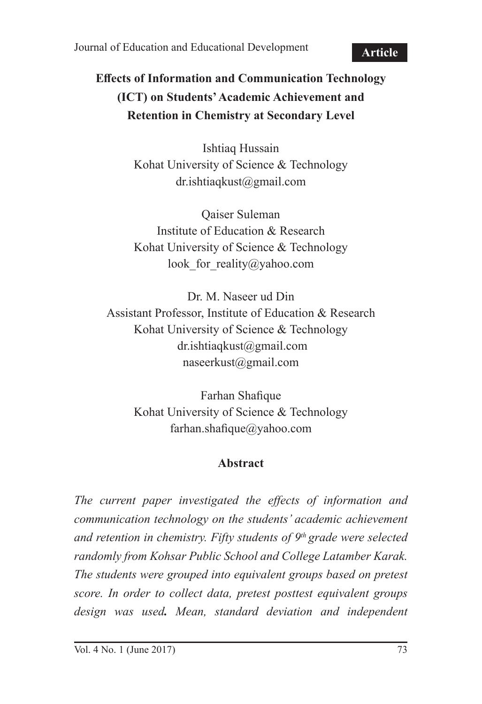Journal of Education and Educational Development

**Article**

# **Effects of Information and Communication Technology (ICT) on Students' Academic Achievement and Retention in Chemistry at Secondary Level**

Ishtiaq Hussain Kohat University of Science & Technology dr.ishtiaqkust@gmail.com

Qaiser Suleman Institute of Education & Research Kohat University of Science & Technology look for reality@yahoo.com

Dr. M. Naseer ud Din Assistant Professor, Institute of Education & Research Kohat University of Science & Technology dr.ishtiaqkust@gmail.com naseerkust@gmail.com

> Farhan Shafique Kohat University of Science & Technology farhan.shafique@yahoo.com

#### **Abstract**

*The current paper investigated the effects of information and communication technology on the students' academic achievement and retention in chemistry. Fifty students of 9th grade were selected randomly from Kohsar Public School and College Latamber Karak. The students were grouped into equivalent groups based on pretest score. In order to collect data, pretest posttest equivalent groups design was used. Mean, standard deviation and independent*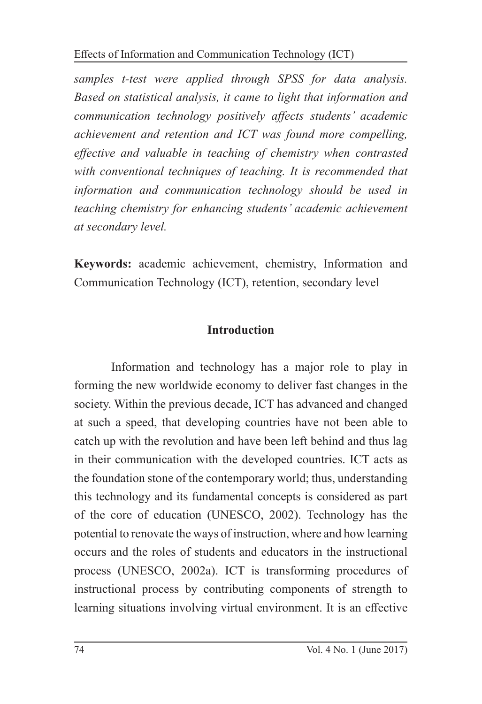*samples t-test were applied through SPSS for data analysis. Based on statistical analysis, it came to light that information and communication technology positively affects students' academic achievement and retention and ICT was found more compelling, effective and valuable in teaching of chemistry when contrasted with conventional techniques of teaching. It is recommended that information and communication technology should be used in teaching chemistry for enhancing students' academic achievement at secondary level.*

**Keywords:** academic achievement, chemistry, Information and Communication Technology (ICT), retention, secondary level

## **Introduction**

Information and technology has a major role to play in forming the new worldwide economy to deliver fast changes in the society. Within the previous decade, ICT has advanced and changed at such a speed, that developing countries have not been able to catch up with the revolution and have been left behind and thus lag in their communication with the developed countries. ICT acts as the foundation stone of the contemporary world; thus, understanding this technology and its fundamental concepts is considered as part of the core of education (UNESCO, 2002). Technology has the potential to renovate the ways of instruction, where and how learning occurs and the roles of students and educators in the instructional process (UNESCO, 2002a). ICT is transforming procedures of instructional process by contributing components of strength to learning situations involving virtual environment. It is an effective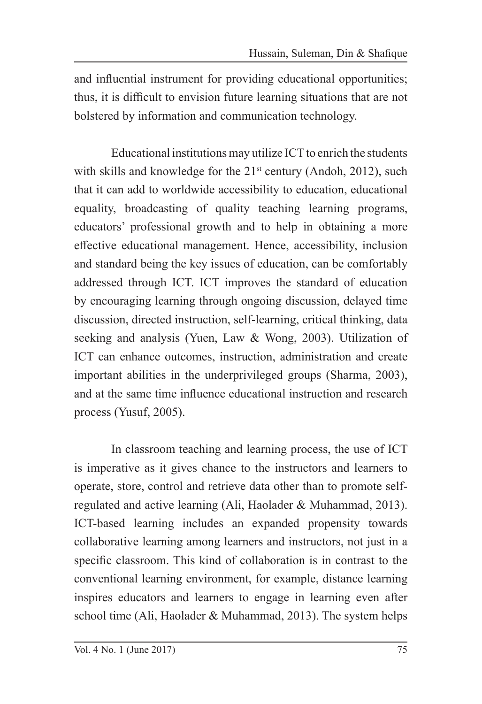and influential instrument for providing educational opportunities; thus, it is difficult to envision future learning situations that are not bolstered by information and communication technology.

Educational institutions may utilize ICT to enrich the students with skills and knowledge for the 21<sup>st</sup> century (Andoh, 2012), such that it can add to worldwide accessibility to education, educational equality, broadcasting of quality teaching learning programs, educators' professional growth and to help in obtaining a more effective educational management. Hence, accessibility, inclusion and standard being the key issues of education, can be comfortably addressed through ICT. ICT improves the standard of education by encouraging learning through ongoing discussion, delayed time discussion, directed instruction, self-learning, critical thinking, data seeking and analysis (Yuen, Law & Wong, 2003). Utilization of ICT can enhance outcomes, instruction, administration and create important abilities in the underprivileged groups (Sharma, 2003), and at the same time influence educational instruction and research process (Yusuf, 2005).

In classroom teaching and learning process, the use of ICT is imperative as it gives chance to the instructors and learners to operate, store, control and retrieve data other than to promote selfregulated and active learning (Ali, Haolader & Muhammad, 2013). ICT-based learning includes an expanded propensity towards collaborative learning among learners and instructors, not just in a specific classroom. This kind of collaboration is in contrast to the conventional learning environment, for example, distance learning inspires educators and learners to engage in learning even after school time (Ali, Haolader & Muhammad, 2013). The system helps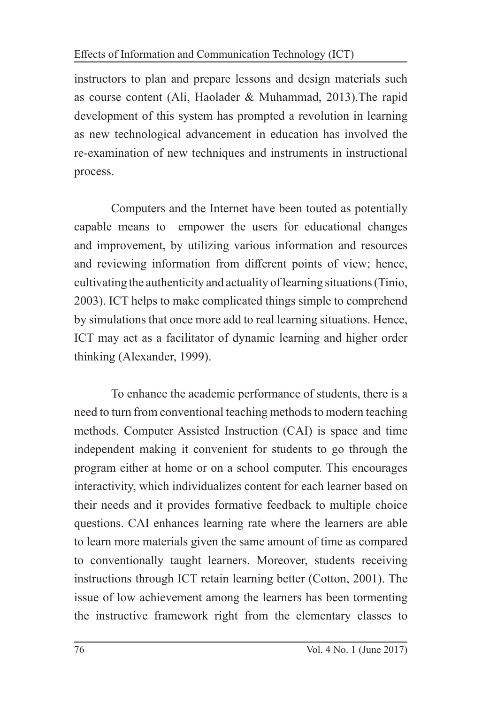instructors to plan and prepare lessons and design materials such as course content (Ali, Haolader & Muhammad, 2013).The rapid development of this system has prompted a revolution in learning as new technological advancement in education has involved the re-examination of new techniques and instruments in instructional process.

Computers and the Internet have been touted as potentially capable means to empower the users for educational changes and improvement, by utilizing various information and resources and reviewing information from different points of view; hence, cultivating the authenticity and actuality of learning situations (Tinio, 2003). ICT helps to make complicated things simple to comprehend by simulations that once more add to real learning situations. Hence, ICT may act as a facilitator of dynamic learning and higher order thinking (Alexander, 1999).

To enhance the academic performance of students, there is a need to turn from conventional teaching methods to modern teaching methods. Computer Assisted Instruction (CAI) is space and time independent making it convenient for students to go through the program either at home or on a school computer. This encourages interactivity, which individualizes content for each learner based on their needs and it provides formative feedback to multiple choice questions. CAI enhances learning rate where the learners are able to learn more materials given the same amount of time as compared to conventionally taught learners. Moreover, students receiving instructions through ICT retain learning better (Cotton, 2001). The issue of low achievement among the learners has been tormenting the instructive framework right from the elementary classes to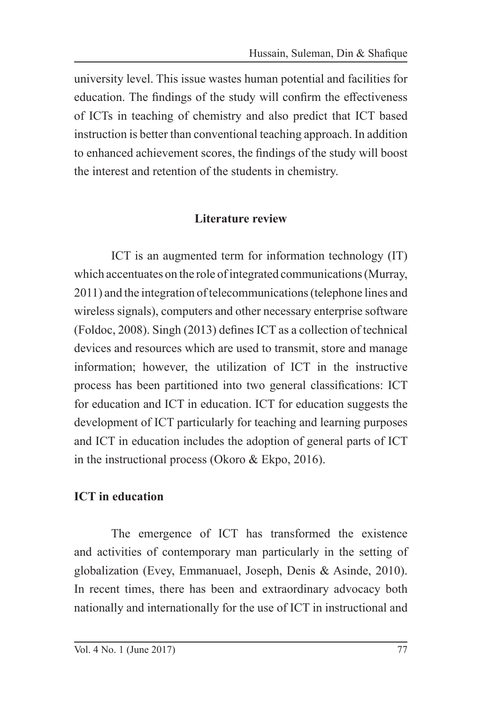university level. This issue wastes human potential and facilities for education. The findings of the study will confirm the effectiveness of ICTs in teaching of chemistry and also predict that ICT based instruction is better than conventional teaching approach. In addition to enhanced achievement scores, the findings of the study will boost the interest and retention of the students in chemistry.

## **Literature review**

ICT is an augmented term for information technology (IT) which accentuates on the role of integrated communications (Murray, 2011) and the integration of telecommunications (telephone lines and wireless signals), computers and other necessary enterprise software (Foldoc, 2008). Singh (2013) defines ICT as a collection of technical devices and resources which are used to transmit, store and manage information; however, the utilization of ICT in the instructive process has been partitioned into two general classifications: ICT for education and ICT in education. ICT for education suggests the development of ICT particularly for teaching and learning purposes and ICT in education includes the adoption of general parts of ICT in the instructional process (Okoro & Ekpo, 2016).

## **ICT in education**

The emergence of ICT has transformed the existence and activities of contemporary man particularly in the setting of globalization (Evey, Emmanuael, Joseph, Denis & Asinde, 2010). In recent times, there has been and extraordinary advocacy both nationally and internationally for the use of ICT in instructional and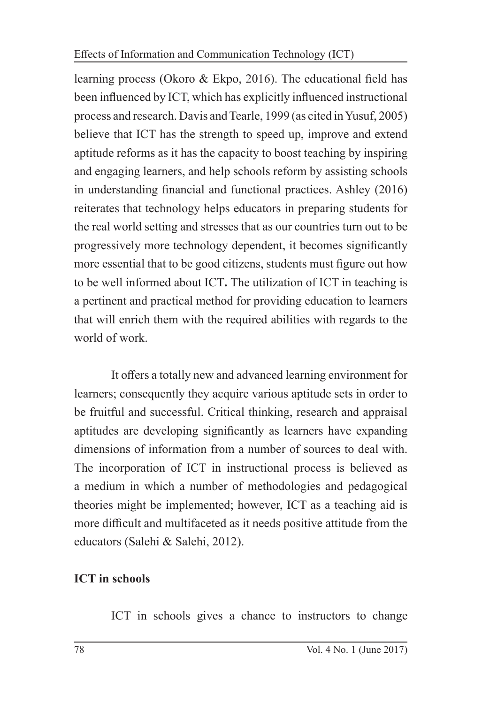learning process (Okoro & Ekpo, 2016). The educational field has been influenced by ICT, which has explicitly influenced instructional process and research. Davis and Tearle, 1999 (as cited in Yusuf, 2005) believe that ICT has the strength to speed up, improve and extend aptitude reforms as it has the capacity to boost teaching by inspiring and engaging learners, and help schools reform by assisting schools in understanding financial and functional practices. Ashley (2016) reiterates that technology helps educators in preparing students for the real world setting and stresses that as our countries turn out to be progressively more technology dependent, it becomes significantly more essential that to be good citizens, students must figure out how to be well informed about ICT**.** The utilization of ICT in teaching is a pertinent and practical method for providing education to learners that will enrich them with the required abilities with regards to the world of work.

It offers a totally new and advanced learning environment for learners; consequently they acquire various aptitude sets in order to be fruitful and successful. Critical thinking, research and appraisal aptitudes are developing significantly as learners have expanding dimensions of information from a number of sources to deal with. The incorporation of ICT in instructional process is believed as a medium in which a number of methodologies and pedagogical theories might be implemented; however, ICT as a teaching aid is more difficult and multifaceted as it needs positive attitude from the educators (Salehi & Salehi, 2012).

# **ICT in schools**

ICT in schools gives a chance to instructors to change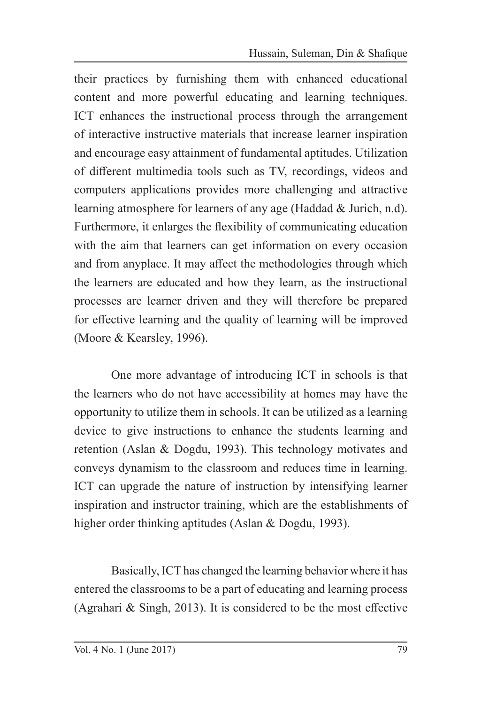their practices by furnishing them with enhanced educational content and more powerful educating and learning techniques. ICT enhances the instructional process through the arrangement of interactive instructive materials that increase learner inspiration and encourage easy attainment of fundamental aptitudes. Utilization of different multimedia tools such as TV, recordings, videos and computers applications provides more challenging and attractive learning atmosphere for learners of any age (Haddad & Jurich, n.d). Furthermore, it enlarges the flexibility of communicating education with the aim that learners can get information on every occasion and from anyplace. It may affect the methodologies through which the learners are educated and how they learn, as the instructional processes are learner driven and they will therefore be prepared for effective learning and the quality of learning will be improved (Moore & Kearsley, 1996).

One more advantage of introducing ICT in schools is that the learners who do not have accessibility at homes may have the opportunity to utilize them in schools. It can be utilized as a learning device to give instructions to enhance the students learning and retention (Aslan & Dogdu, 1993). This technology motivates and conveys dynamism to the classroom and reduces time in learning. ICT can upgrade the nature of instruction by intensifying learner inspiration and instructor training, which are the establishments of higher order thinking aptitudes (Aslan & Dogdu, 1993).

Basically, ICT has changed the learning behavior where it has entered the classrooms to be a part of educating and learning process (Agrahari & Singh, 2013). It is considered to be the most effective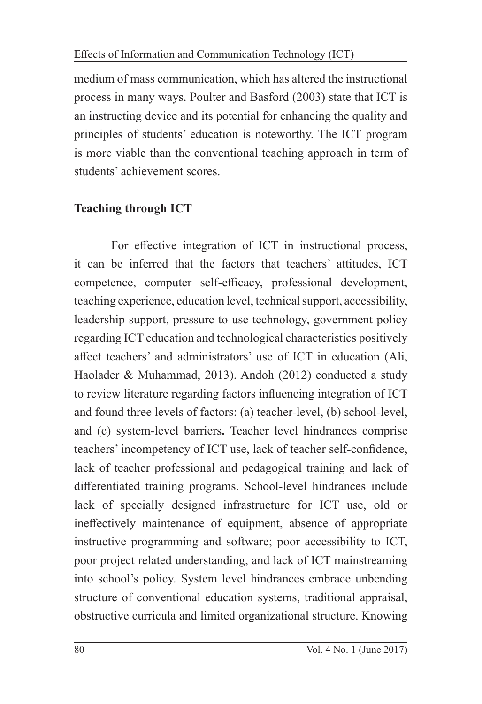medium of mass communication, which has altered the instructional process in many ways. Poulter and Basford (2003) state that ICT is an instructing device and its potential for enhancing the quality and principles of students' education is noteworthy. The ICT program is more viable than the conventional teaching approach in term of students' achievement scores.

## **Teaching through ICT**

For effective integration of ICT in instructional process, it can be inferred that the factors that teachers' attitudes, ICT competence, computer self-efficacy, professional development, teaching experience, education level, technical support, accessibility, leadership support, pressure to use technology, government policy regarding ICT education and technological characteristics positively affect teachers' and administrators' use of ICT in education (Ali, Haolader & Muhammad, 2013). Andoh (2012) conducted a study to review literature regarding factors influencing integration of ICT and found three levels of factors: (a) teacher-level, (b) school-level, and (c) system-level barriers**.** Teacher level hindrances comprise teachers' incompetency of ICT use, lack of teacher self-confidence, lack of teacher professional and pedagogical training and lack of differentiated training programs. School-level hindrances include lack of specially designed infrastructure for ICT use, old or ineffectively maintenance of equipment, absence of appropriate instructive programming and software; poor accessibility to ICT, poor project related understanding, and lack of ICT mainstreaming into school's policy. System level hindrances embrace unbending structure of conventional education systems, traditional appraisal, obstructive curricula and limited organizational structure. Knowing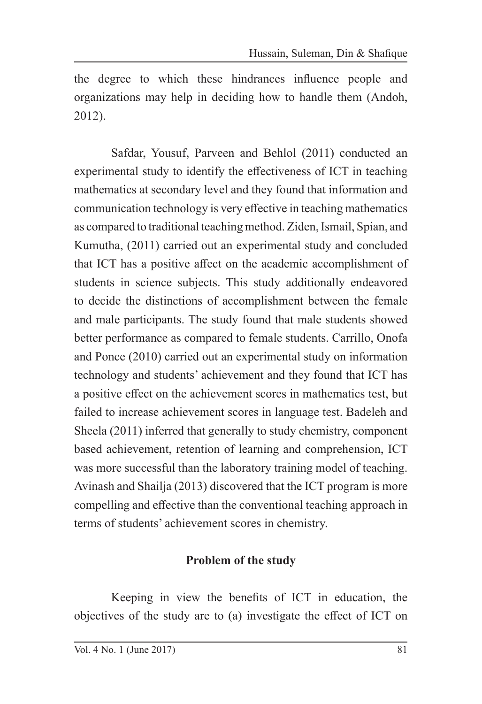the degree to which these hindrances influence people and organizations may help in deciding how to handle them (Andoh, 2012).

Safdar, Yousuf, Parveen and Behlol (2011) conducted an experimental study to identify the effectiveness of ICT in teaching mathematics at secondary level and they found that information and communication technology is very effective in teaching mathematics as compared to traditional teaching method. Ziden, Ismail, Spian, and Kumutha, (2011) carried out an experimental study and concluded that ICT has a positive affect on the academic accomplishment of students in science subjects. This study additionally endeavored to decide the distinctions of accomplishment between the female and male participants. The study found that male students showed better performance as compared to female students. Carrillo, Onofa and Ponce (2010) carried out an experimental study on information technology and students' achievement and they found that ICT has a positive effect on the achievement scores in mathematics test, but failed to increase achievement scores in language test. Badeleh and Sheela (2011) inferred that generally to study chemistry, component based achievement, retention of learning and comprehension, ICT was more successful than the laboratory training model of teaching. Avinash and Shailja (2013) discovered that the ICT program is more compelling and effective than the conventional teaching approach in terms of students' achievement scores in chemistry.

## **Problem of the study**

Keeping in view the benefits of ICT in education, the objectives of the study are to (a) investigate the effect of ICT on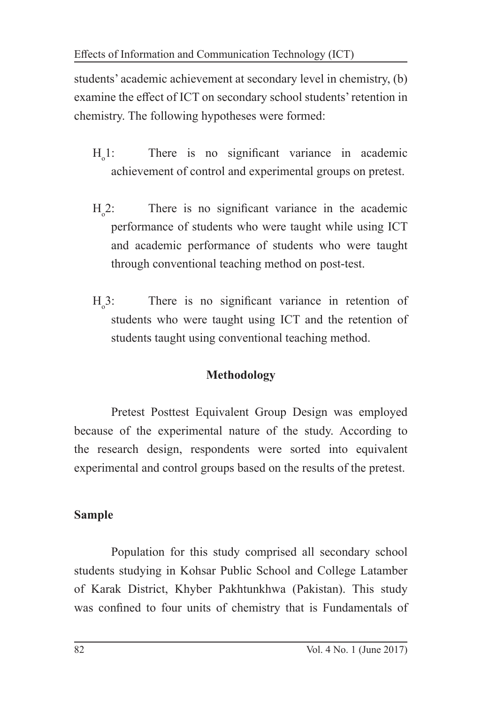students' academic achievement at secondary level in chemistry, (b) examine the effect of ICT on secondary school students' retention in chemistry. The following hypotheses were formed:

- $H_{\alpha}1$ : There is no significant variance in academic achievement of control and experimental groups on pretest.
- $H_{\alpha}2$ : There is no significant variance in the academic performance of students who were taught while using ICT and academic performance of students who were taught through conventional teaching method on post-test.
- $H_3$ : There is no significant variance in retention of students who were taught using ICT and the retention of students taught using conventional teaching method.

# **Methodology**

Pretest Posttest Equivalent Group Design was employed because of the experimental nature of the study. According to the research design, respondents were sorted into equivalent experimental and control groups based on the results of the pretest.

# **Sample**

Population for this study comprised all secondary school students studying in Kohsar Public School and College Latamber of Karak District, Khyber Pakhtunkhwa (Pakistan). This study was confined to four units of chemistry that is Fundamentals of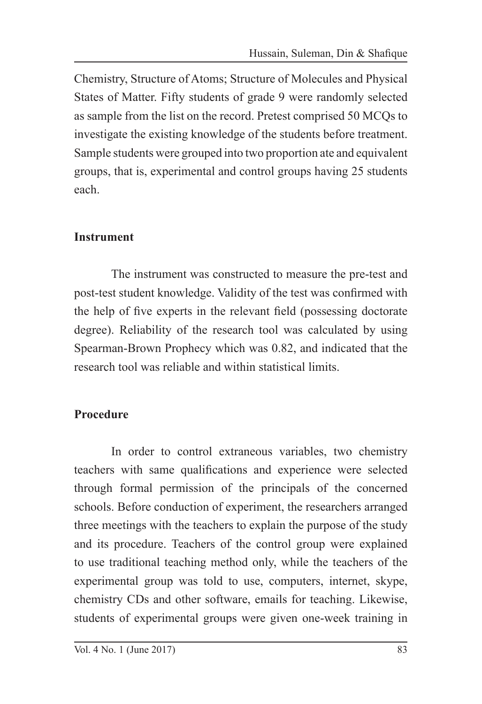Chemistry, Structure of Atoms; Structure of Molecules and Physical States of Matter. Fifty students of grade 9 were randomly selected as sample from the list on the record. Pretest comprised 50 MCQs to investigate the existing knowledge of the students before treatment. Sample students were grouped into two proportion ate and equivalent groups, that is, experimental and control groups having 25 students each.

## **Instrument**

The instrument was constructed to measure the pre-test and post-test student knowledge. Validity of the test was confirmed with the help of five experts in the relevant field (possessing doctorate degree). Reliability of the research tool was calculated by using Spearman-Brown Prophecy which was 0.82, and indicated that the research tool was reliable and within statistical limits.

# **Procedure**

In order to control extraneous variables, two chemistry teachers with same qualifications and experience were selected through formal permission of the principals of the concerned schools. Before conduction of experiment, the researchers arranged three meetings with the teachers to explain the purpose of the study and its procedure. Teachers of the control group were explained to use traditional teaching method only, while the teachers of the experimental group was told to use, computers, internet, skype, chemistry CDs and other software, emails for teaching. Likewise, students of experimental groups were given one-week training in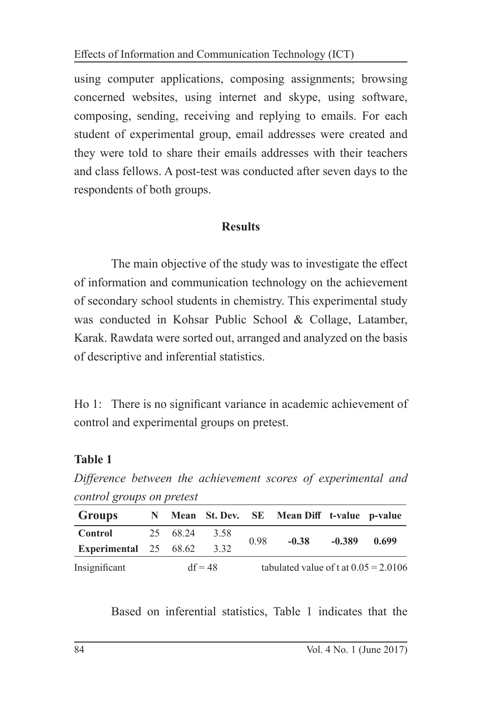using computer applications, composing assignments; browsing concerned websites, using internet and skype, using software, composing, sending, receiving and replying to emails. For each student of experimental group, email addresses were created and they were told to share their emails addresses with their teachers and class fellows. A post-test was conducted after seven days to the respondents of both groups.

#### **Results**

The main objective of the study was to investigate the effect of information and communication technology on the achievement of secondary school students in chemistry. This experimental study was conducted in Kohsar Public School & Collage, Latamber, Karak. Rawdata were sorted out, arranged and analyzed on the basis of descriptive and inferential statistics.

Ho 1: There is no significant variance in academic achievement of control and experimental groups on pretest.

## **Table 1**

*Difference between the achievement scores of experimental and control groups on pretest* 

| Groups                       | N |           |      |                                         | Mean St. Dev. SE Mean Diff t-value p-value |          |       |
|------------------------------|---|-----------|------|-----------------------------------------|--------------------------------------------|----------|-------|
| Control                      |   | 25 68.24  | 3.58 |                                         | $-0.38$                                    | $-0.389$ | 0.699 |
| <b>Experimental</b> 25 68.62 |   |           | 3.32 | 0.98                                    |                                            |          |       |
| Insignificant                |   | $df = 48$ |      | tabulated value of t at $0.05 = 2.0106$ |                                            |          |       |

Based on inferential statistics, Table 1 indicates that the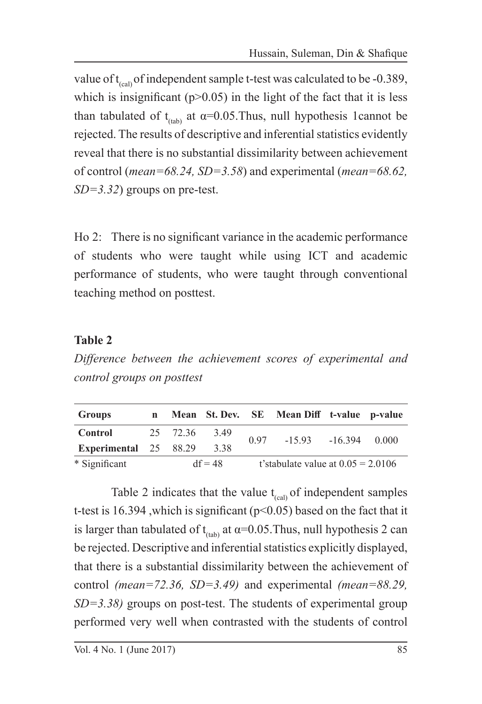value of  $t_{\text{cca}}$  of independent sample t-test was calculated to be -0.389, which is insignificant ( $p$  $>$ 0.05) in the light of the fact that it is less than tabulated of t<sub>(tab)</sub> at  $\alpha$ =0.05. Thus, null hypothesis 1cannot be rejected. The results of descriptive and inferential statistics evidently reveal that there is no substantial dissimilarity between achievement of control (*mean=68.24, SD=3.58*) and experimental (*mean=68.62, SD=3.32*) groups on pre-test.

Ho 2: There is no significant variance in the academic performance of students who were taught while using ICT and academic performance of students, who were taught through conventional teaching method on posttest.

## **Table 2**

*Difference between the achievement scores of experimental and control groups on posttest* 

| Groups                | n |           |      |                                      | Mean St. Dev. SE Mean Diff t-value p-value |  |       |
|-----------------------|---|-----------|------|--------------------------------------|--------------------------------------------|--|-------|
| Control               |   | 25 72.36  | 3.49 | 0.97                                 | $-15.93 - 16.394$                          |  | 0.000 |
| Experimental 25 88.29 |   |           | 3.38 |                                      |                                            |  |       |
| * Significant         |   | $df = 48$ |      | t'stabulate value at $0.05 = 2.0106$ |                                            |  |       |

Table 2 indicates that the value  $t_{\text{c}al}$  of independent samples t-test is 16.394, which is significant ( $p$ <0.05) based on the fact that it is larger than tabulated of t<sub>(tab)</sub> at  $\alpha$ =0.05. Thus, null hypothesis 2 can be rejected. Descriptive and inferential statistics explicitly displayed, that there is a substantial dissimilarity between the achievement of control *(mean=72.36, SD=3.49)* and experimental *(mean=88.29, SD=3.38)* groups on post-test. The students of experimental group performed very well when contrasted with the students of control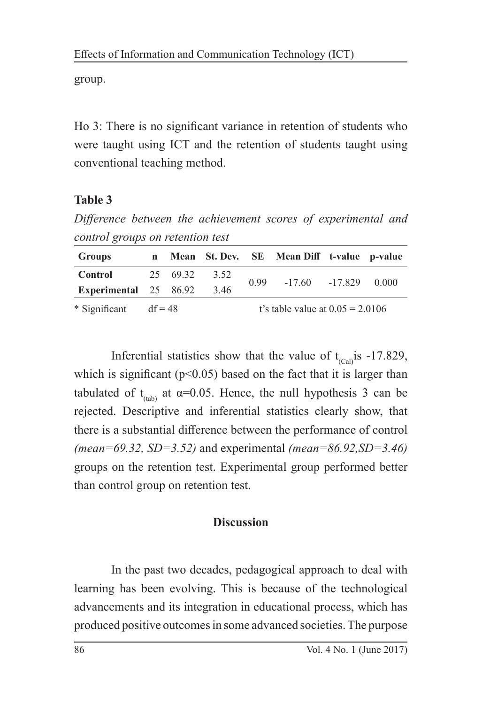group.

Ho 3: There is no significant variance in retention of students who were taught using ICT and the retention of students taught using conventional teaching method.

## **Table 3**

*Difference between the achievement scores of experimental and control groups on retention test* 

| <b>Groups</b>           | $\mathbf n$ |          |      |                                    | Mean St. Dev. SE Mean Diff t-value p-value |  |       |
|-------------------------|-------------|----------|------|------------------------------------|--------------------------------------------|--|-------|
| Control                 |             | 25 69.32 | 3.52 | 0.99                               | $-17.60 -17.829$                           |  | 0.000 |
| Experimental 25 86.92   |             |          | 3.46 |                                    |                                            |  |       |
| * Significant $df = 48$ |             |          |      | t's table value at $0.05 = 2.0106$ |                                            |  |       |

Inferential statistics show that the value of  $t_{\text{Can}}$  is -17.829, which is significant ( $p<0.05$ ) based on the fact that it is larger than tabulated of t<sub>(tab)</sub> at  $\alpha$ =0.05. Hence, the null hypothesis 3 can be rejected. Descriptive and inferential statistics clearly show, that there is a substantial difference between the performance of control *(mean=69.32, SD=3.52)* and experimental *(mean=86.92,SD=3.46)* groups on the retention test. Experimental group performed better than control group on retention test.

## **Discussion**

In the past two decades, pedagogical approach to deal with learning has been evolving. This is because of the technological advancements and its integration in educational process, which has produced positive outcomes in some advanced societies. The purpose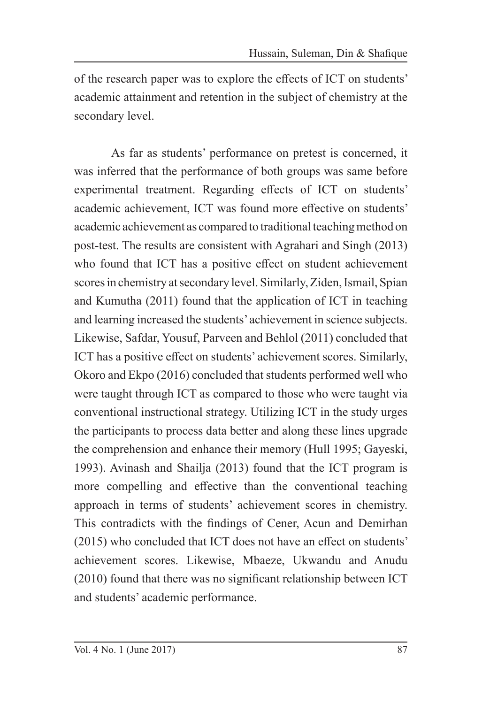of the research paper was to explore the effects of ICT on students' academic attainment and retention in the subject of chemistry at the secondary level.

As far as students' performance on pretest is concerned, it was inferred that the performance of both groups was same before experimental treatment. Regarding effects of ICT on students' academic achievement, ICT was found more effective on students' academic achievement as compared to traditional teaching method on post-test. The results are consistent with Agrahari and Singh (2013) who found that ICT has a positive effect on student achievement scores in chemistry at secondary level. Similarly, Ziden, Ismail, Spian and Kumutha (2011) found that the application of ICT in teaching and learning increased the students' achievement in science subjects. Likewise, Safdar, Yousuf, Parveen and Behlol (2011) concluded that ICT has a positive effect on students' achievement scores. Similarly, Okoro and Ekpo (2016) concluded that students performed well who were taught through ICT as compared to those who were taught via conventional instructional strategy. Utilizing ICT in the study urges the participants to process data better and along these lines upgrade the comprehension and enhance their memory (Hull 1995; Gayeski, 1993). Avinash and Shailja (2013) found that the ICT program is more compelling and effective than the conventional teaching approach in terms of students' achievement scores in chemistry. This contradicts with the findings of Cener, Acun and Demirhan (2015) who concluded that ICT does not have an effect on students' achievement scores. Likewise, Mbaeze, Ukwandu and Anudu (2010) found that there was no significant relationship between ICT and students' academic performance.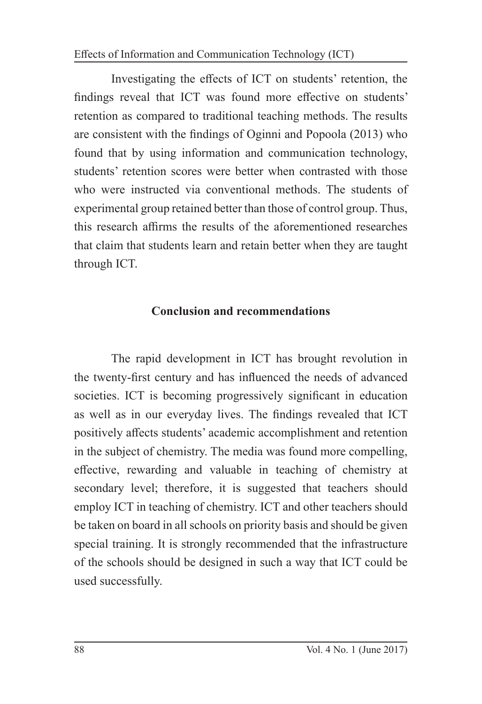Effects of Information and Communication Technology (ICT)

Investigating the effects of ICT on students' retention, the findings reveal that ICT was found more effective on students' retention as compared to traditional teaching methods. The results are consistent with the findings of Oginni and Popoola (2013) who found that by using information and communication technology, students' retention scores were better when contrasted with those who were instructed via conventional methods. The students of experimental group retained better than those of control group. Thus, this research affirms the results of the aforementioned researches that claim that students learn and retain better when they are taught through ICT.

#### **Conclusion and recommendations**

The rapid development in ICT has brought revolution in the twenty-first century and has influenced the needs of advanced societies. ICT is becoming progressively significant in education as well as in our everyday lives. The findings revealed that ICT positively affects students' academic accomplishment and retention in the subject of chemistry. The media was found more compelling, effective, rewarding and valuable in teaching of chemistry at secondary level; therefore, it is suggested that teachers should employ ICT in teaching of chemistry. ICT and other teachers should be taken on board in all schools on priority basis and should be given special training. It is strongly recommended that the infrastructure of the schools should be designed in such a way that ICT could be used successfully.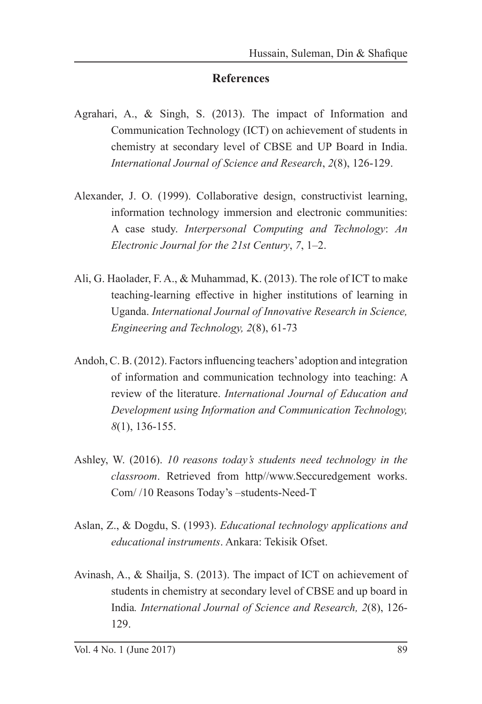#### **References**

- Agrahari, A., & Singh, S. (2013). The impact of Information and Communication Technology (ICT) on achievement of students in chemistry at secondary level of CBSE and UP Board in India. *International Journal of Science and Research*, *2*(8), 126-129.
- Alexander, J. O. (1999). Collaborative design, constructivist learning, information technology immersion and electronic communities: A case study. *Interpersonal Computing and Technology*: *An Electronic Journal for the 21st Century*, *7*, 1–2.
- Ali, G. Haolader, F. A., & Muhammad, K. (2013). The role of ICT to make teaching-learning effective in higher institutions of learning in Uganda. *International Journal of Innovative Research in Science, Engineering and Technology, 2*(8), 61-73
- Andoh, C. B. (2012). Factors influencing teachers' adoption and integration of information and communication technology into teaching: A review of the literature. *International Journal of Education and Development using Information and Communication Technology, 8*(1), 136-155.
- Ashley, W. (2016). *10 reasons today's students need technology in the classroom*. Retrieved from http//www.Seccuredgement works. Com/ /10 Reasons Today's –students-Need-T
- Aslan, Z., & Dogdu, S. (1993). *Educational technology applications and educational instruments*. Ankara: Tekisik Ofset.
- Avinash, A., & Shailja, S. (2013). The impact of ICT on achievement of students in chemistry at secondary level of CBSE and up board in India*. International Journal of Science and Research, 2*(8), 126- 129.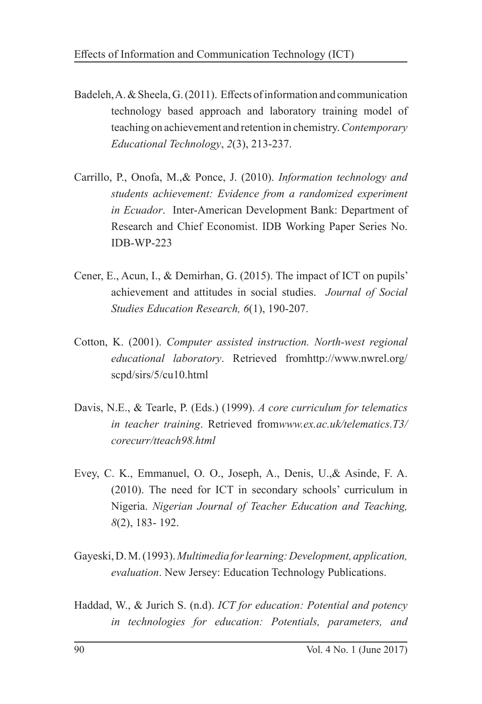- Badeleh, A. & Sheela, G. (2011). Effects of information and communication technology based approach and laboratory training model of teaching on achievement and retention in chemistry. *Contemporary Educational Technology*, *2*(3), 213-237.
- Carrillo, P., Onofa, M.,& Ponce, J. (2010). *Information technology and students achievement: Evidence from a randomized experiment in Ecuador*. Inter-American Development Bank: Department of Research and Chief Economist. IDB Working Paper Series No. IDB-WP-223
- Cener, E., Acun, I., & Demirhan, G. (2015). The impact of ICT on pupils' achievement and attitudes in social studies. *Journal of Social Studies Education Research, 6*(1), 190-207.
- Cotton, K. (2001). *Computer assisted instruction. North-west regional educational laboratory*. Retrieved fromhttp://www.nwrel.org/ scpd/sirs/5/cu10.html
- Davis, N.E., & Tearle, P. (Eds.) (1999). *A core curriculum for telematics in teacher training*. Retrieved from*www.ex.ac.uk/telematics.T3/ corecurr/tteach98.html*
- Evey, C. K., Emmanuel, O. O., Joseph, A., Denis, U.,& Asinde, F. A. (2010). The need for ICT in secondary schools' curriculum in Nigeria. *Nigerian Journal of Teacher Education and Teaching, 8*(2), 183- 192.
- Gayeski, D. M. (1993). *Multimedia for learning: Development, application, evaluation*. New Jersey: Education Technology Publications.
- Haddad, W., & Jurich S. (n.d). *ICT for education: Potential and potency in technologies for education: Potentials, parameters, and*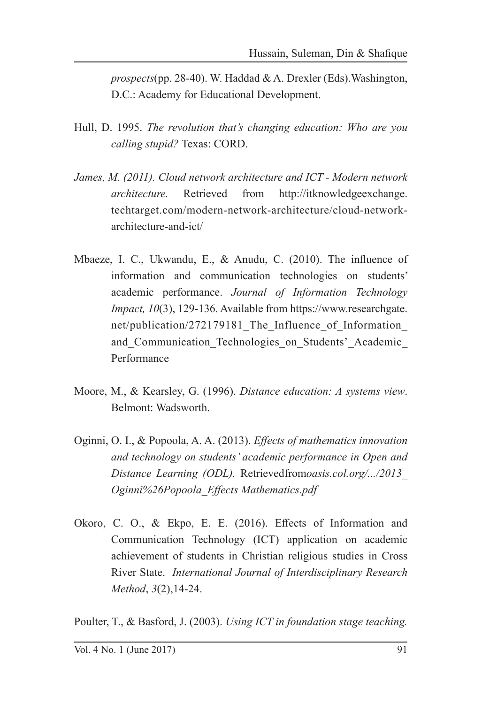*prospects*(pp. 28-40). W. Haddad & A. Drexler (Eds).Washington, D.C.: Academy for Educational Development.

- Hull, D. 1995. *The revolution that's changing education: Who are you calling stupid?* Texas: CORD.
- *James, M. (2011). Cloud network architecture and ICT Modern network architecture.* Retrieved from http://itknowledgeexchange. techtarget.com/modern-network-architecture/cloud-networkarchitecture-and-ict/
- Mbaeze, I. C., Ukwandu, E., & Anudu, C. (2010). The influence of information and communication technologies on students' academic performance. *Journal of Information Technology Impact, 10*(3), 129-136. Available from https://www.researchgate. net/publication/272179181 The Influence of Information and Communication Technologies on Students' Academic Performance
- Moore, M., & Kearsley, G. (1996). *Distance education: A systems view*. Belmont: Wadsworth.
- Oginni, O. I., & Popoola, A. A. (2013). *Effects of mathematics innovation and technology on students' academic performance in Open and Distance Learning (ODL).* Retrievedfrom*oasis.col.org/.../2013\_ Oginni%26Popoola\_Effects Mathematics.pdf*
- Okoro, C. O., & Ekpo, E. E. (2016). Effects of Information and Communication Technology (ICT) application on academic achievement of students in Christian religious studies in Cross River State. *International Journal of Interdisciplinary Research Method*, *3*(2),14-24.

Poulter, T., & Basford, J. (2003). *Using ICT in foundation stage teaching.*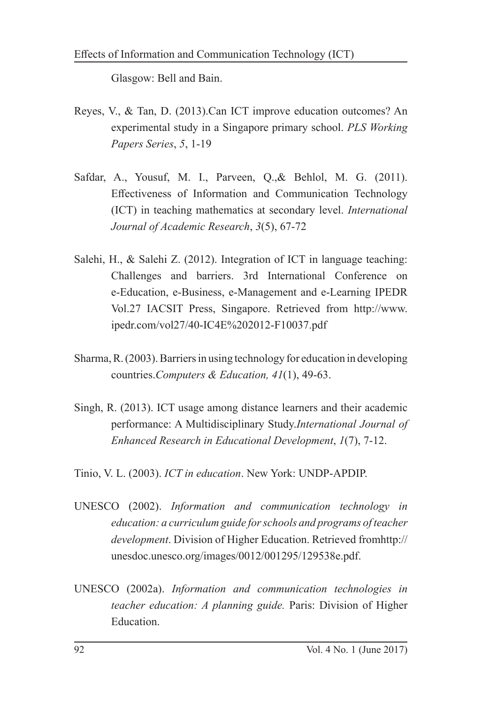Glasgow: Bell and Bain.

- Reyes, V., & Tan, D. (2013).Can ICT improve education outcomes? An experimental study in a Singapore primary school. *PLS Working Papers Series*, *5*, 1-19
- Safdar, A., Yousuf, M. I., Parveen, Q.,& Behlol, M. G. (2011). Effectiveness of Information and Communication Technology (ICT) in teaching mathematics at secondary level. *International Journal of Academic Research*, *3*(5), 67-72
- Salehi, H., & Salehi Z. (2012). Integration of ICT in language teaching: Challenges and barriers. 3rd International Conference on e-Education, e-Business, e-Management and e-Learning IPEDR Vol.27 IACSIT Press, Singapore. Retrieved from http://www. ipedr.com/vol27/40-IC4E%202012-F10037.pdf
- Sharma, R. (2003). Barriers in using technology for education in developing countries.*Computers & Education, 41*(1), 49-63.
- Singh, R. (2013). ICT usage among distance learners and their academic performance: A Multidisciplinary Study.*International Journal of Enhanced Research in Educational Development*, *1*(7), 7-12.
- Tinio, V. L. (2003). *ICT in education*. New York: UNDP-APDIP.
- UNESCO (2002). *Information and communication technology in education: a curriculum guide for schools and programs of teacher development*. Division of Higher Education. Retrieved fromhttp:// unesdoc.unesco.org/images/0012/001295/129538e.pdf.
- UNESCO (2002a). *Information and communication technologies in teacher education: A planning guide.* Paris: Division of Higher Education.